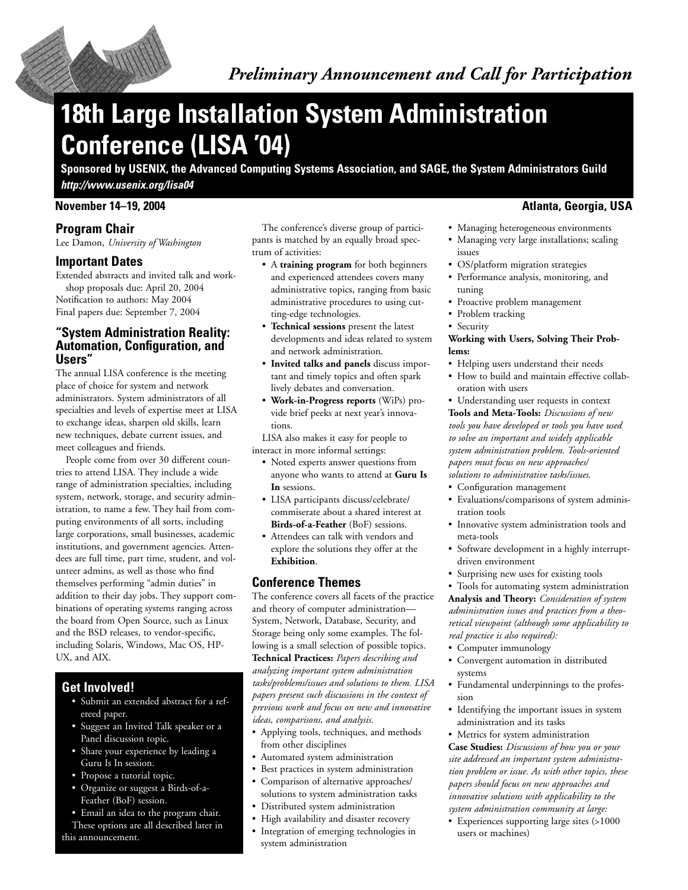

# **18th Large Installation System Administration Conference (LISA '04)**

**Sponsored by USENIX, the Advanced Computing Systems Association, and SAGE, the System Administrators Guild** *http://www.usenix.org/lisa04*

# **Program Chair**

Lee Damon, *University of Washington*

# **Important Dates**

Extended abstracts and invited talk and workshop proposals due: April 20, 2004 Notification to authors: May 2004 Final papers due: September 7, 2004

# **"System Administration Reality: Automation, Configuration, and Users"**

The annual LISA conference is the meeting place of choice for system and network administrators. System administrators of all specialties and levels of expertise meet at LISA to exchange ideas, sharpen old skills, learn new techniques, debate current issues, and meet colleagues and friends.

People come from over 30 different countries to attend LISA. They include a wide range of administration specialties, including system, network, storage, and security administration, to name a few. They hail from computing environments of all sorts, including large corporations, small businesses, academic institutions, and government agencies. Attendees are full time, part time, student, and volunteer admins, as well as those who find themselves performing "admin duties" in addition to their day jobs. They support combinations of operating systems ranging across the board from Open Source, such as Linux and the BSD releases, to vendor-specific, including Solaris, Windows, Mac OS, HP-UX, and AIX.

# **Get Involved!**

- Submit an extended abstract for a refereed paper.
- Suggest an Invited Talk speaker or a Panel discussion topic.
- Share your experience by leading a Guru Is In session.
- Propose a tutorial topic.
- Organize or suggest a Birds-of-a-Feather (BoF) session.
- Email an idea to the program chair.

These options are all described later in this announcement.

The conference's diverse group of participants is matched by an equally broad spectrum of activities:

- A **training program** for both beginners and experienced attendees covers many administrative topics, ranging from basic administrative procedures to using cutting-edge technologies.
- **Technical sessions** present the latest developments and ideas related to system and network administration.
- **Invited talks and panels** discuss important and timely topics and often spark lively debates and conversation.
- **Work-in-Progress reports** (WiPs) provide brief peeks at next year's innovations.

LISA also makes it easy for people to interact in more informal settings:

- Noted experts answer questions from anyone who wants to attend at **Guru Is In** sessions.
- LISA participants discuss/celebrate/ commiserate about a shared interest at **Birds-of-a-Feather** (BoF) sessions.
- Attendees can talk with vendors and explore the solutions they offer at the **Exhibition**.

# **Conference Themes**

The conference covers all facets of the practice and theory of computer administration— System, Network, Database, Security, and Storage being only some examples. The following is a small selection of possible topics. **Technical Practices:** *Papers describing and analyzing important system administration tasks/problems/issues and solutions to them. LISA papers present such discussions in the context of previous work and focus on new and innovative ideas, comparisons, and analysis.*

- Applying tools, techniques, and methods from other disciplines
- Automated system administration
- Best practices in system administration
- Comparison of alternative approaches/ solutions to system administration tasks
- Distributed system administration
- High availability and disaster recovery
- Integration of emerging technologies in system administration

# **November 14–19, 2004 Atlanta, Georgia, USA**

- Managing heterogeneous environments
- Managing very large installations; scaling issues
- OS/platform migration strategies
- Performance analysis, monitoring, and tuning
- Proactive problem management
- Problem tracking
- Security

#### **Working with Users, Solving Their Problems:**

- Helping users understand their needs
- How to build and maintain effective collaboration with users
- Understanding user requests in context

**Tools and Meta-Tools:** *Discussions of new tools you have developed or tools you have used to solve an important and widely applicable system administration problem. Tools-oriented papers must focus on new approaches/ solutions to administrative tasks/issues.*

- Configuration management
- Evaluations/comparisons of system administration tools
- Innovative system administration tools and meta-tools
- Software development in a highly interruptdriven environment
- Surprising new uses for existing tools

• Tools for automating system administration **Analysis and Theory:** *Consideration of system administration issues and practices from a theoretical viewpoint (although some applicability to real practice is also required):*

- Computer immunology
- Convergent automation in distributed systems
- Fundamental underpinnings to the profession
- Identifying the important issues in system administration and its tasks
- Metrics for system administration

**Case Studies:** *Discussions of how you or your site addressed an important system administration problem or issue. As with other topics, these papers should focus on new approaches and innovative solutions with applicability to the system administration community at large:*

• Experiences supporting large sites (>1000 users or machines)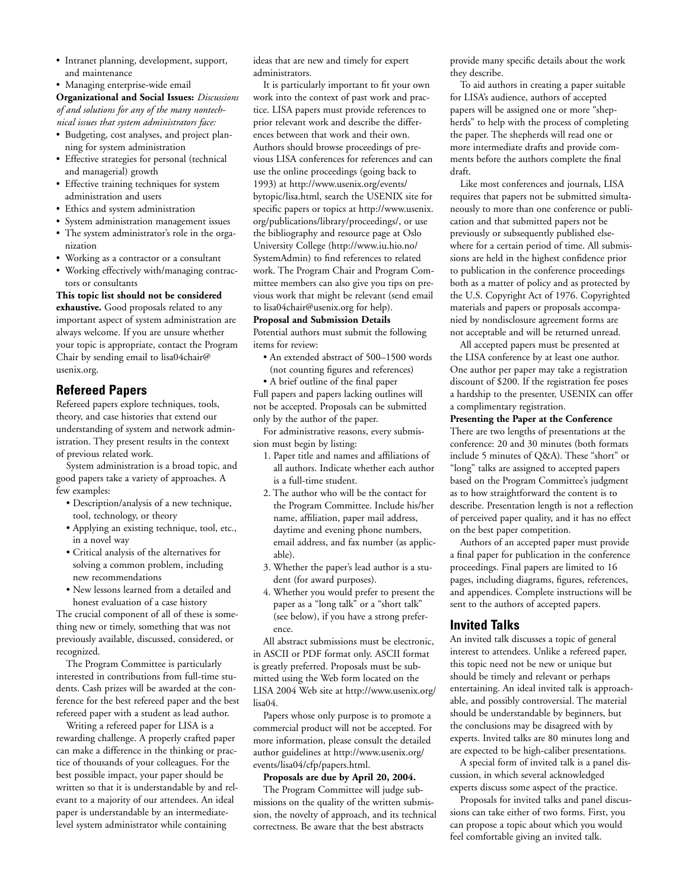- Intranet planning, development, support, and maintenance
- Managing enterprise-wide email

**Organizational and Social Issues:** *Discussions of and solutions for any of the many nontechnical issues that system administrators face:*

- Budgeting, cost analyses, and project planning for system administration
- Effective strategies for personal (technical and managerial) growth
- Effective training techniques for system administration and users
- Ethics and system administration
- System administration management issues
- The system administrator's role in the organization
- Working as a contractor or a consultant
- Working effectively with/managing contractors or consultants

**This topic list should not be considered exhaustive.** Good proposals related to any important aspect of system administration are always welcome. If you are unsure whether your topic is appropriate, contact the Program Chair by sending email to lisa04chair@ usenix.org.

# **Refereed Papers**

Refereed papers explore techniques, tools, theory, and case histories that extend our understanding of system and network administration. They present results in the context of previous related work.

System administration is a broad topic, and good papers take a variety of approaches. A few examples:

- Description/analysis of a new technique, tool, technology, or theory
- Applying an existing technique, tool, etc., in a novel way
- Critical analysis of the alternatives for solving a common problem, including new recommendations
- New lessons learned from a detailed and honest evaluation of a case history

The crucial component of all of these is something new or timely, something that was not previously available, discussed, considered, or recognized.

The Program Committee is particularly interested in contributions from full-time students. Cash prizes will be awarded at the conference for the best refereed paper and the best refereed paper with a student as lead author.

Writing a refereed paper for LISA is a rewarding challenge. A properly crafted paper can make a difference in the thinking or practice of thousands of your colleagues. For the best possible impact, your paper should be written so that it is understandable by and relevant to a majority of our attendees. An ideal paper is understandable by an intermediatelevel system administrator while containing

ideas that are new and timely for expert administrators.

It is particularly important to fit your own work into the context of past work and practice. LISA papers must provide references to prior relevant work and describe the differences between that work and their own. Authors should browse proceedings of previous LISA conferences for references and can use the online proceedings (going back to 1993) at http://www.usenix.org/events/ bytopic/lisa.html, search the USENIX site for specific papers or topics at http://www.usenix. org/publications/library/proceedings/, or use the bibliography and resource page at Oslo University College (http://www.iu.hio.no/ SystemAdmin) to find references to related work. The Program Chair and Program Committee members can also give you tips on previous work that might be relevant (send email to lisa04chair@usenix.org for help).

#### **Proposal and Submission Details**

Potential authors must submit the following items for review:

• An extended abstract of 500–1500 words (not counting figures and references)

• A brief outline of the final paper Full papers and papers lacking outlines will not be accepted. Proposals can be submitted only by the author of the paper.

For administrative reasons, every submission must begin by listing:

- 1. Paper title and names and affiliations of all authors. Indicate whether each author is a full-time student.
- 2. The author who will be the contact for the Program Committee. Include his/her name, affiliation, paper mail address, daytime and evening phone numbers, email address, and fax number (as applicable).
- 3. Whether the paper's lead author is a student (for award purposes).
- 4. Whether you would prefer to present the paper as a "long talk" or a "short talk" (see below), if you have a strong preference.

All abstract submissions must be electronic, in ASCII or PDF format only. ASCII format is greatly preferred. Proposals must be submitted using the Web form located on the LISA 2004 Web site at http://www.usenix.org/ lisa04.

Papers whose only purpose is to promote a commercial product will not be accepted. For more information, please consult the detailed author guidelines at http://www.usenix.org/ events/lisa04/cfp/papers.html.

#### **Proposals are due by April 20, 2004.**

The Program Committee will judge submissions on the quality of the written submission, the novelty of approach, and its technical correctness. Be aware that the best abstracts

provide many specific details about the work they describe.

To aid authors in creating a paper suitable for LISA's audience, authors of accepted papers will be assigned one or more "shepherds" to help with the process of completing the paper. The shepherds will read one or more intermediate drafts and provide comments before the authors complete the final draft.

Like most conferences and journals, LISA requires that papers not be submitted simultaneously to more than one conference or publication and that submitted papers not be previously or subsequently published elsewhere for a certain period of time. All submissions are held in the highest confidence prior to publication in the conference proceedings both as a matter of policy and as protected by the U.S. Copyright Act of 1976. Copyrighted materials and papers or proposals accompanied by nondisclosure agreement forms are not acceptable and will be returned unread.

All accepted papers must be presented at the LISA conference by at least one author. One author per paper may take a registration discount of \$200. If the registration fee poses a hardship to the presenter, USENIX can offer a complimentary registration.

#### **Presenting the Paper at the Conference**

There are two lengths of presentations at the conference: 20 and 30 minutes (both formats include 5 minutes of Q&A). These "short" or "long" talks are assigned to accepted papers based on the Program Committee's judgment as to how straightforward the content is to describe. Presentation length is not a reflection of perceived paper quality, and it has no effect on the best paper competition.

Authors of an accepted paper must provide a final paper for publication in the conference proceedings. Final papers are limited to 16 pages, including diagrams, figures, references, and appendices. Complete instructions will be sent to the authors of accepted papers.

### **Invited Talks**

An invited talk discusses a topic of general interest to attendees. Unlike a refereed paper, this topic need not be new or unique but should be timely and relevant or perhaps entertaining. An ideal invited talk is approachable, and possibly controversial. The material should be understandable by beginners, but the conclusions may be disagreed with by experts. Invited talks are 80 minutes long and are expected to be high-caliber presentations.

A special form of invited talk is a panel discussion, in which several acknowledged experts discuss some aspect of the practice.

Proposals for invited talks and panel discussions can take either of two forms. First, you can propose a topic about which you would feel comfortable giving an invited talk.